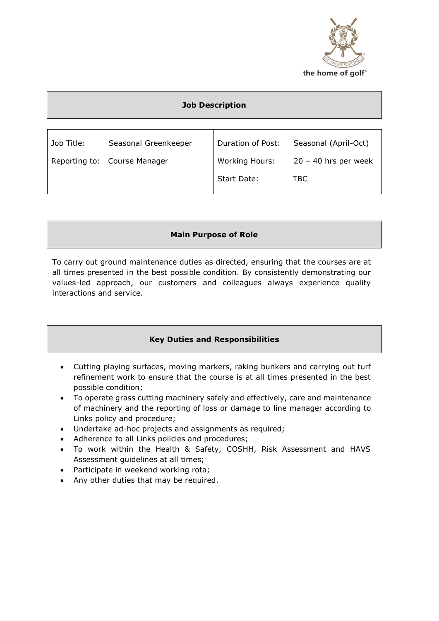

### **Job Description**

| Seasonal Greenkeeper | Duration of Post:            | Seasonal (April-Oct)   |
|----------------------|------------------------------|------------------------|
|                      | <b>Working Hours:</b>        | $20 - 40$ hrs per week |
|                      | Start Date:                  | TBC.                   |
|                      | Reporting to: Course Manager |                        |

# **Main Purpose of Role**

To carry out ground maintenance duties as directed, ensuring that the courses are at all times presented in the best possible condition. By consistently demonstrating our values-led approach, our customers and colleagues always experience quality interactions and service.

# **Key Duties and Responsibilities**

- Cutting playing surfaces, moving markers, raking bunkers and carrying out turf refinement work to ensure that the course is at all times presented in the best possible condition;
- To operate grass cutting machinery safely and effectively, care and maintenance of machinery and the reporting of loss or damage to line manager according to Links policy and procedure;
- Undertake ad-hoc projects and assignments as required;
- Adherence to all Links policies and procedures;
- To work within the Health & Safety, COSHH, Risk Assessment and HAVS Assessment guidelines at all times;
- Participate in weekend working rota;
- Any other duties that may be required.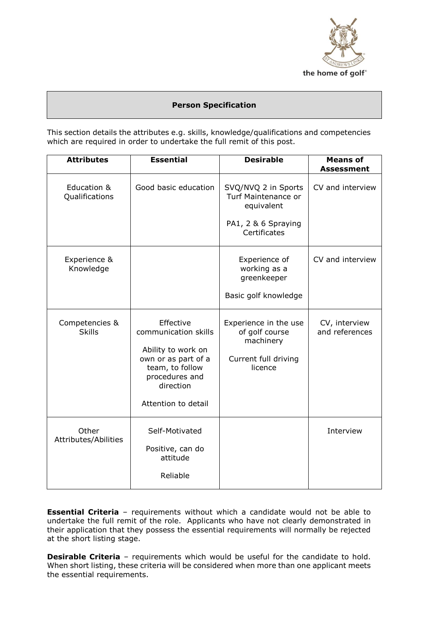

#### **Person Specification**

This section details the attributes e.g. skills, knowledge/qualifications and competencies which are required in order to undertake the full remit of this post.

| <b>Attributes</b>               | <b>Essential</b>                                                                                                                                        | <b>Desirable</b>                                                                                | <b>Means of</b><br><b>Assessment</b> |
|---------------------------------|---------------------------------------------------------------------------------------------------------------------------------------------------------|-------------------------------------------------------------------------------------------------|--------------------------------------|
| Education &<br>Qualifications   | Good basic education                                                                                                                                    | SVQ/NVQ 2 in Sports<br>Turf Maintenance or<br>equivalent<br>PA1, 2 & 6 Spraying<br>Certificates | CV and interview                     |
| Experience &<br>Knowledge       |                                                                                                                                                         | Experience of<br>working as a<br>greenkeeper<br>Basic golf knowledge                            | CV and interview                     |
| Competencies &<br><b>Skills</b> | Effective<br>communication skills<br>Ability to work on<br>own or as part of a<br>team, to follow<br>procedures and<br>direction<br>Attention to detail | Experience in the use<br>of golf course<br>machinery<br>Current full driving<br>licence         | CV, interview<br>and references      |
| Other<br>Attributes/Abilities   | Self-Motivated<br>Positive, can do<br>attitude<br>Reliable                                                                                              |                                                                                                 | Interview                            |

**Essential Criteria** - requirements without which a candidate would not be able to undertake the full remit of the role. Applicants who have not clearly demonstrated in their application that they possess the essential requirements will normally be rejected at the short listing stage.

**Desirable Criteria** - requirements which would be useful for the candidate to hold. When short listing, these criteria will be considered when more than one applicant meets the essential requirements.